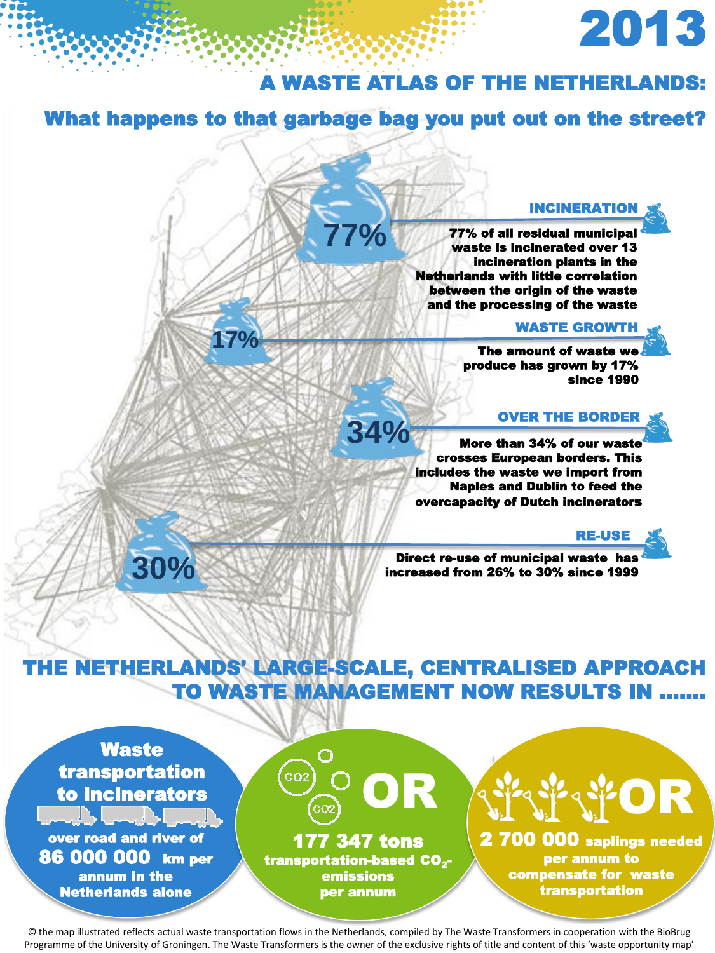# 2013

### A WASTE ATLAS OF THE NETHERLANDS:

### What happens to that garbage bag you put out on the street?

**77%**

**34%**

#### INCINERATION

77% of all residual municipal waste is incinerated over 13 incineration plants in the Netherlands with little correlation between the origin of the waste and the processing of the waste

### **17% WASTE GROWTH**

The amount of waste we produce has grown by 17% since 1990

#### OVER THE BORDER

More than 34% of our wast crosses European borders. This includes the waste we import from Naples and Dublin to feed the overcapacity of Dutch incinerators

#### RE-USE

Direct re-use of municipal waste has increased from 26% to 30% since 1999

### THE NETHERLANDS' LARGE-SCALE, CENTRALISED APPROACH TO WASTE MANAGEMENT NOW RESULTS IN …….

**Waste** transportation to incinerators

**30%**

over road and river of 86 000 000 km per annum in the Netherlands alone



2 700 000 saplings needed per annum to compensate for waste transportation

OR

© the map illustrated reflects actual waste transportation flows in the Netherlands, compiled by The Waste Transformers in cooperation with the BioBrug Programme of the University of Groningen. The Waste Transformers is the owner of the exclusive rights of title and content of this 'waste opportunity map'